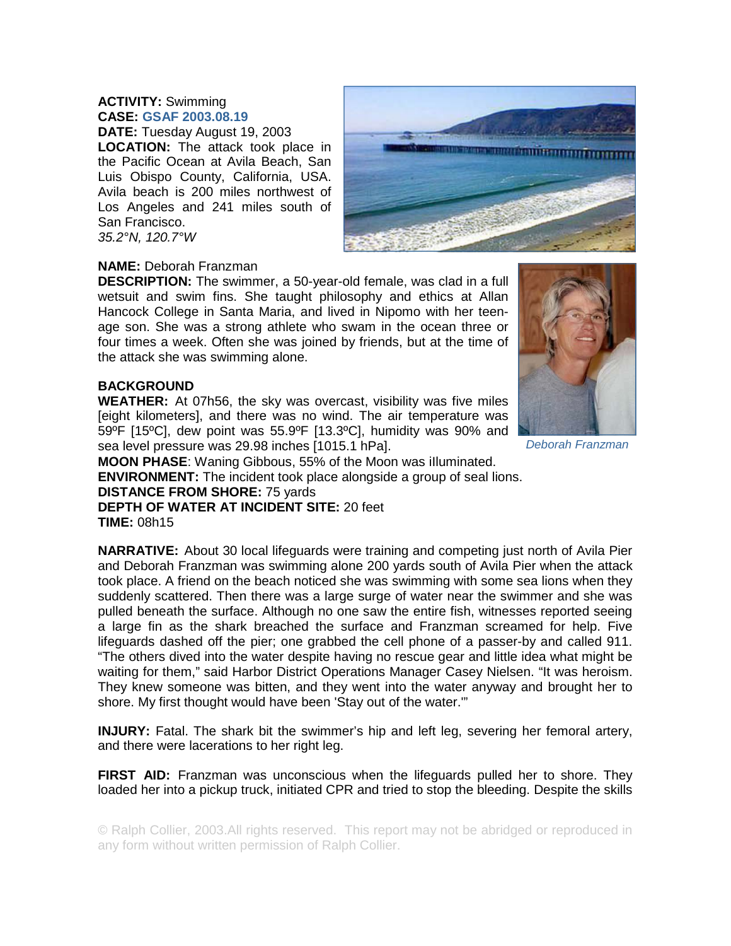## **ACTIVITY:** Swimming **CASE: GSAF 2003.08.19**

**DATE:** Tuesday August 19, 2003 **LOCATION:** The attack took place in the Pacific Ocean at Avila Beach, San Luis Obispo County, California, USA. Avila beach is 200 miles northwest of Los Angeles and 241 miles south of San Francisco. *35.2°N, 120.7°W* 



## **NAME:** Deborah Franzman

**DESCRIPTION:** The swimmer, a 50-year-old female, was clad in a full wetsuit and swim fins. She taught philosophy and ethics at Allan Hancock College in Santa Maria, and lived in Nipomo with her teenage son. She was a strong athlete who swam in the ocean three or four times a week. Often she was joined by friends, but at the time of the attack she was swimming alone.

## **BACKGROUND**

**WEATHER:** At 07h56, the sky was overcast, visibility was five miles [eight kilometers], and there was no wind. The air temperature was 59ºF [15ºC], dew point was 55.9ºF [13.3ºC], humidity was 90% and sea level pressure was 29.98 inches [1015.1 hPa].



*Deborah Franzman*

**MOON PHASE**: Waning Gibbous, 55% of the Moon was iIluminated.

**ENVIRONMENT:** The incident took place alongside a group of seal lions.

**DISTANCE FROM SHORE:** 75 yards

**DEPTH OF WATER AT INCIDENT SITE:** 20 feet **TIME:** 08h15

**NARRATIVE:** About 30 local lifeguards were training and competing just north of Avila Pier and Deborah Franzman was swimming alone 200 yards south of Avila Pier when the attack took place. A friend on the beach noticed she was swimming with some sea lions when they suddenly scattered. Then there was a large surge of water near the swimmer and she was pulled beneath the surface. Although no one saw the entire fish, witnesses reported seeing a large fin as the shark breached the surface and Franzman screamed for help. Five lifeguards dashed off the pier; one grabbed the cell phone of a passer-by and called 911. "The others dived into the water despite having no rescue gear and little idea what might be waiting for them," said Harbor District Operations Manager Casey Nielsen. "It was heroism. They knew someone was bitten, and they went into the water anyway and brought her to shore. My first thought would have been 'Stay out of the water.'"

**INJURY:** Fatal. The shark bit the swimmer's hip and left leg, severing her femoral artery, and there were lacerations to her right leg.

**FIRST AID:** Franzman was unconscious when the lifeguards pulled her to shore. They loaded her into a pickup truck, initiated CPR and tried to stop the bleeding. Despite the skills

© Ralph Collier, 2003.All rights reserved. This report may not be abridged or reproduced in any form without written permission of Ralph Collier.